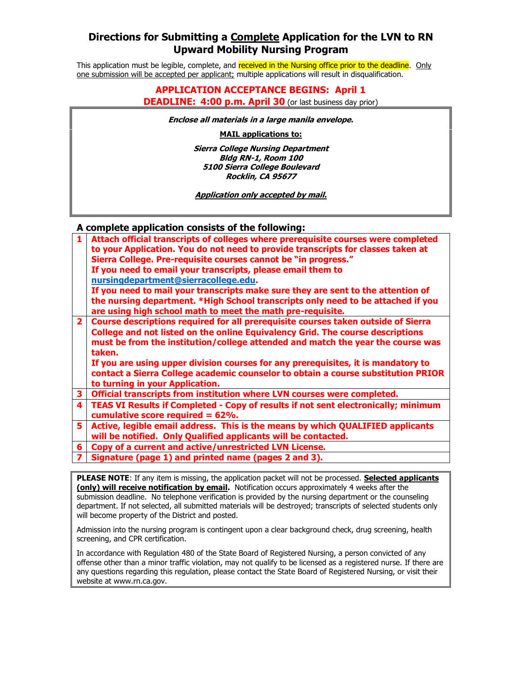## **Directions for Submitting a Complete Application for the LVN to RN Upward Mobility Nursing Program**

This application must be legible, complete, and received in the Nursing office prior to the deadline. Only one submission will be accepted per applicant; multiple applications will result in disqualification.

### **DEADLINE: 4:00 p.m. April 30** (or last business day prior) **APPLICATION ACCEPTANCE BEGINS: April 1**

 **Enclose all materials in a large manila envelope.** 

**MAIL applications to:** 

 **Bldg RN-1, Room 100 5100 Sierra College Boulevard Rocklin, CA 95677 Sierra College Nursing Department** 

 **Application only accepted by mail.** 

### **A complete application consists of the following:**

|                | ,p.ccc wpp::ewe.er ec.io.oco of end ronoming.                                                                                                                         |
|----------------|-----------------------------------------------------------------------------------------------------------------------------------------------------------------------|
| $\mathbf{1}$   | Attach official transcripts of colleges where prerequisite courses were completed<br>to your Application. You do not need to provide transcripts for classes taken at |
|                | Sierra College. Pre-requisite courses cannot be "in progress."                                                                                                        |
|                | If you need to email your transcripts, please email them to                                                                                                           |
|                | nursingdepartment@sierracollege.edu.                                                                                                                                  |
|                | If you need to mail your transcripts make sure they are sent to the attention of                                                                                      |
|                | the nursing department. *High School transcripts only need to be attached if you                                                                                      |
|                | are using high school math to meet the math pre-requisite.                                                                                                            |
| 2 <sup>1</sup> | Course descriptions required for all prerequisite courses taken outside of Sierra                                                                                     |
|                | College and not listed on the online Equivalency Grid. The course descriptions                                                                                        |
|                | must be from the institution/college attended and match the year the course was                                                                                       |
|                | taken.                                                                                                                                                                |
|                | If you are using upper division courses for any prerequisites, it is mandatory to                                                                                     |
|                | contact a Sierra College academic counselor to obtain a course substitution PRIOR                                                                                     |
|                | to turning in your Application.                                                                                                                                       |
|                | 3   Official transcripts from institution where LVN courses were completed.                                                                                           |
|                | 4   TEAS VI Results if Completed - Copy of results if not sent electronically; minimum                                                                                |
|                | cumulative score required = $62\%$ .                                                                                                                                  |
| 5.             | Active, legible email address. This is the means by which QUALIFIED applicants                                                                                        |
|                |                                                                                                                                                                       |

- **will be notified. Only Qualified applicants will be contacted.**
- **6 Copy of a current and active/unrestricted LVN License.**
- **7 Signature (page 1) and printed name (pages 2 and 3).**

 **PLEASE NOTE**: If any item is missing, the application packet will not be processed. **Selected applicants (only) will receive notification by email.** Notification occurs approximately 4 weeks after the submission deadline. No telephone verification is provided by the nursing department or the counseling department. If not selected, all submitted materials will be destroyed; transcripts of selected students only will become property of the District and posted.

Admission into the nursing program is contingent upon a clear background check, drug screening, health screening, and CPR certification.

 In accordance with Regulation 480 of the State Board of Registered Nursing, a person convicted of any offense other than a minor traffic violation, may not qualify to be licensed as a registered nurse. If there are any questions regarding this regulation, please contact the State Board of Registered Nursing, or visit their website at www.rn.ca.gov.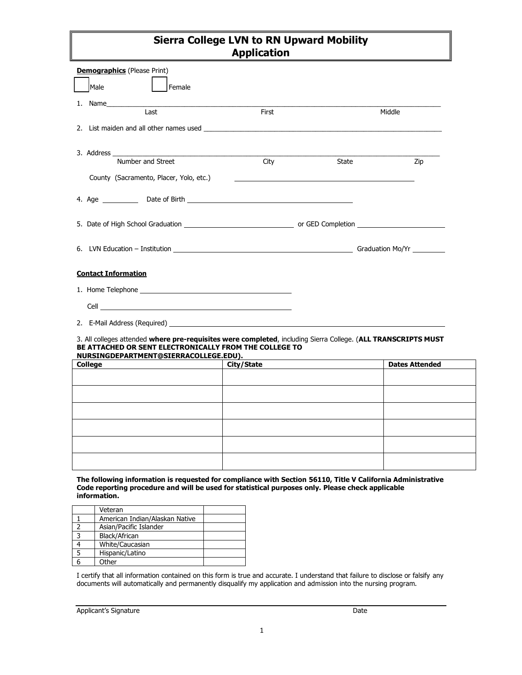# **Sierra College LVN to RN Upward Mobility Application**

| <b>Demographics</b> (Please Print)                                                                                                                                                                               |                                                                                                                                                                                                                                |            |       |                       |  |  |
|------------------------------------------------------------------------------------------------------------------------------------------------------------------------------------------------------------------|--------------------------------------------------------------------------------------------------------------------------------------------------------------------------------------------------------------------------------|------------|-------|-----------------------|--|--|
|                                                                                                                                                                                                                  | <b>Male</b><br>Female                                                                                                                                                                                                          |            |       |                       |  |  |
|                                                                                                                                                                                                                  | Last                                                                                                                                                                                                                           | First      |       | Middle                |  |  |
|                                                                                                                                                                                                                  | 2. List maiden and all other names used and a state of the state of the state of the state of the state of the state of the state of the state of the state of the state of the state of the state of the state of the state o |            |       |                       |  |  |
|                                                                                                                                                                                                                  |                                                                                                                                                                                                                                |            |       |                       |  |  |
|                                                                                                                                                                                                                  | Number and Street                                                                                                                                                                                                              | City       | State | Zip                   |  |  |
|                                                                                                                                                                                                                  | County (Sacramento, Placer, Yolo, etc.)                                                                                                                                                                                        |            |       |                       |  |  |
|                                                                                                                                                                                                                  |                                                                                                                                                                                                                                |            |       |                       |  |  |
|                                                                                                                                                                                                                  |                                                                                                                                                                                                                                |            |       |                       |  |  |
|                                                                                                                                                                                                                  |                                                                                                                                                                                                                                |            |       |                       |  |  |
| <b>Contact Information</b>                                                                                                                                                                                       |                                                                                                                                                                                                                                |            |       |                       |  |  |
|                                                                                                                                                                                                                  |                                                                                                                                                                                                                                |            |       |                       |  |  |
|                                                                                                                                                                                                                  |                                                                                                                                                                                                                                |            |       |                       |  |  |
|                                                                                                                                                                                                                  |                                                                                                                                                                                                                                |            |       |                       |  |  |
| 3. All colleges attended where pre-requisites were completed, including Sierra College. (ALL TRANSCRIPTS MUST<br>BE ATTACHED OR SENT ELECTRONICALLY FROM THE COLLEGE TO<br>NURSINGDEPARTMENT@SIERRACOLLEGE.EDU). |                                                                                                                                                                                                                                |            |       |                       |  |  |
|                                                                                                                                                                                                                  | <b>College</b>                                                                                                                                                                                                                 | City/State |       | <b>Dates Attended</b> |  |  |
|                                                                                                                                                                                                                  |                                                                                                                                                                                                                                |            |       |                       |  |  |
|                                                                                                                                                                                                                  |                                                                                                                                                                                                                                |            |       |                       |  |  |

#### **The following information is requested for compliance with Section 56110, Title V California Administrative Code reporting procedure and will be used for statistical purposes only. Please check applicable information.**

| Veteran                        |  |
|--------------------------------|--|
| American Indian/Alaskan Native |  |
| Asian/Pacific Islander         |  |
| Black/African                  |  |
| White/Caucasian                |  |
| Hispanic/Latino                |  |
| Other                          |  |

I certify that all information contained on this form is true and accurate. I understand that failure to disclose or falsify any documents will automatically and permanently disqualify my application and admission into the nursing program.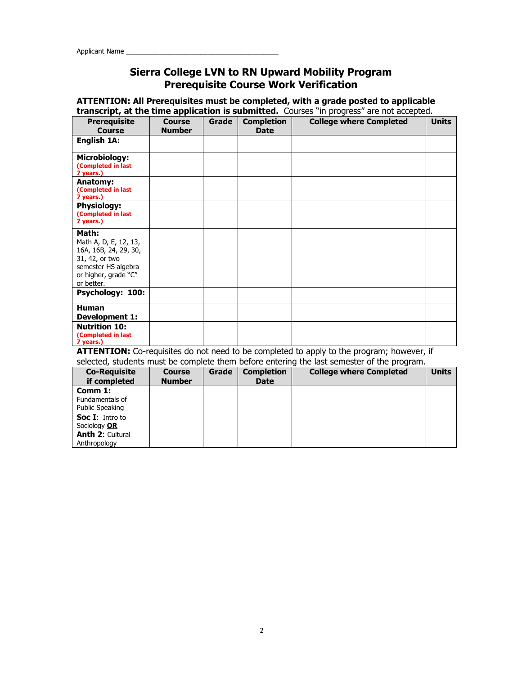## **Sierra College LVN to RN Upward Mobility Program Prerequisite Course Work Verification**

### **ATTENTION: All Prerequisites must be completed, with a grade posted to applicable transcript, at the time application is submitted.** Courses "in progress" are not accepted.

| <b>Prerequisite</b><br>Course                                                                                                          | <b>Course</b><br><b>Number</b> | Grade | <b>Completion</b><br><b>Date</b> | <b>College where Completed</b> | <b>Units</b> |
|----------------------------------------------------------------------------------------------------------------------------------------|--------------------------------|-------|----------------------------------|--------------------------------|--------------|
| English 1A:                                                                                                                            |                                |       |                                  |                                |              |
| <b>Microbiology:</b><br>(Completed in last<br>7 years.)                                                                                |                                |       |                                  |                                |              |
| <b>Anatomy:</b><br>(Completed in last<br>7 years.)                                                                                     |                                |       |                                  |                                |              |
| <b>Physiology:</b><br>(Completed in last<br>7 years.)                                                                                  |                                |       |                                  |                                |              |
| Math:<br>Math A, D, E, 12, 13,<br>16A, 16B, 24, 29, 30,<br>31, 42, or two<br>semester HS algebra<br>or higher, grade "C"<br>or better. |                                |       |                                  |                                |              |
| Psychology: 100:                                                                                                                       |                                |       |                                  |                                |              |
| <b>Human</b><br><b>Development 1:</b>                                                                                                  |                                |       |                                  |                                |              |
| <b>Nutrition 10:</b><br>(Completed in last<br>7 years.)                                                                                |                                |       |                                  |                                |              |

**ATTENTION:** Co-requisites do not need to be completed to apply to the program; however, if

| selected, students must be complete them before entering the last semester of the program. |               |       |                   |                                |              |
|--------------------------------------------------------------------------------------------|---------------|-------|-------------------|--------------------------------|--------------|
| <b>Co-Requisite</b>                                                                        | <b>Course</b> | Grade | <b>Completion</b> | <b>College where Completed</b> | <b>Units</b> |
| if completed                                                                               | <b>Number</b> |       | <b>Date</b>       |                                |              |
| Comm $1:$<br>Fundamentals of<br>Public Speaking                                            |               |       |                   |                                |              |
| <b>Soc I:</b> Intro to<br>Sociology OR<br><b>Anth 2: Cultural</b><br>Anthropology          |               |       |                   |                                |              |